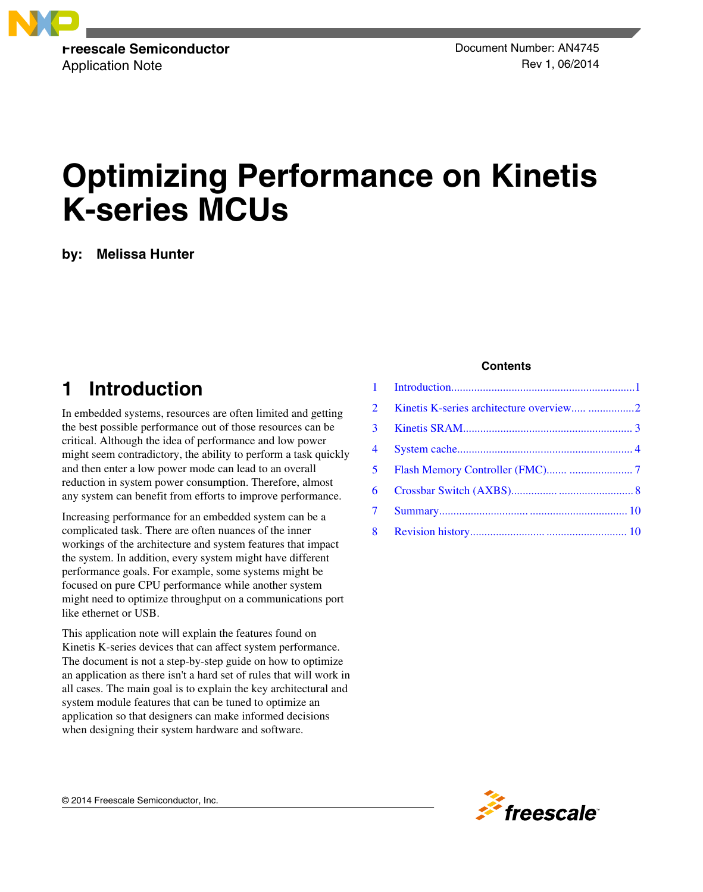

# **Optimizing Performance on Kinetis K-series MCUs**

**by: Melissa Hunter**

## **1 Introduction**

In embedded systems, resources are often limited and getting the best possible performance out of those resources can be critical. Although the idea of performance and low power might seem contradictory, the ability to perform a task quickly and then enter a low power mode can lead to an overall reduction in system power consumption. Therefore, almost any system can benefit from efforts to improve performance.

Increasing performance for an embedded system can be a complicated task. There are often nuances of the inner workings of the architecture and system features that impact the system. In addition, every system might have different performance goals. For example, some systems might be focused on pure CPU performance while another system might need to optimize throughput on a communications port like ethernet or USB.

This application note will explain the features found on Kinetis K-series devices that can affect system performance. The document is not a step-by-step guide on how to optimize an application as there isn't a hard set of rules that will work in all cases. The main goal is to explain the key architectural and system module features that can be tuned to optimize an application so that designers can make informed decisions when designing their system hardware and software.

#### **Contents**

| $2^{\circ}$    | Kinetis K-series architecture overview 2 |  |
|----------------|------------------------------------------|--|
| 3 <sup>1</sup> |                                          |  |
|                |                                          |  |
|                |                                          |  |
| 6              |                                          |  |
|                |                                          |  |
|                |                                          |  |

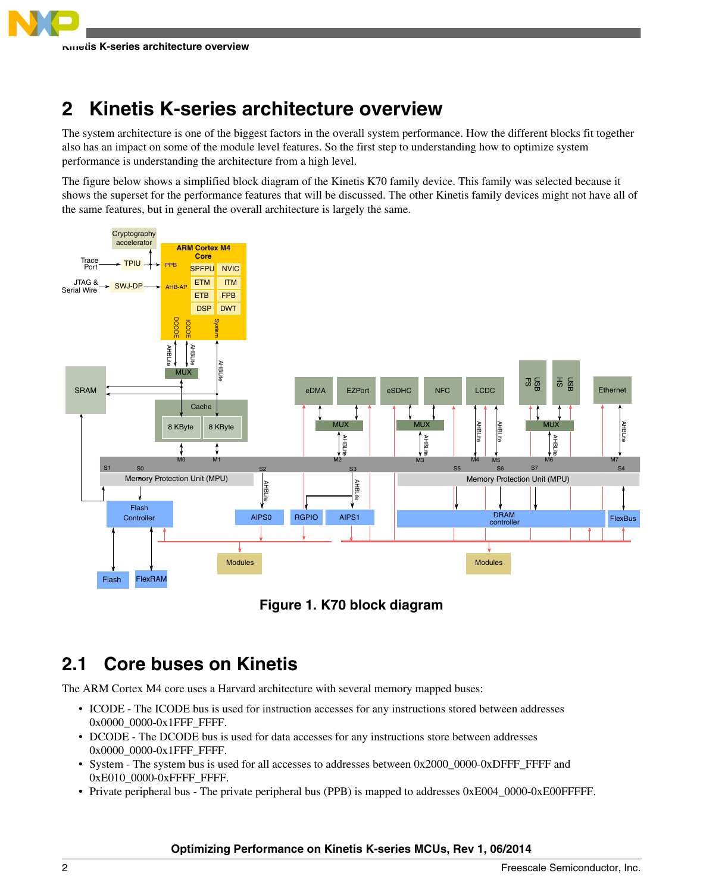## <span id="page-1-0"></span>**2 Kinetis K-series architecture overview**

The system architecture is one of the biggest factors in the overall system performance. How the different blocks fit together also has an impact on some of the module level features. So the first step to understanding how to optimize system performance is understanding the architecture from a high level.

The figure below shows a simplified block diagram of the Kinetis K70 family device. This family was selected because it shows the superset for the performance features that will be discussed. The other Kinetis family devices might not have all of the same features, but in general the overall architecture is largely the same.





## **2.1 Core buses on Kinetis**

The ARM Cortex M4 core uses a Harvard architecture with several memory mapped buses:

- ICODE The ICODE bus is used for instruction accesses for any instructions stored between addresses 0x0000\_0000-0x1FFF\_FFFF.
- DCODE The DCODE bus is used for data accesses for any instructions store between addresses 0x0000\_0000-0x1FFF\_FFFF.
- System The system bus is used for all accesses to addresses between 0x2000\_0000-0xDFFF\_FFFF and 0xE010\_0000-0xFFFF\_FFFF.
- Private peripheral bus The private peripheral bus (PPB) is mapped to addresses 0xE004\_0000-0xE00FFFFF.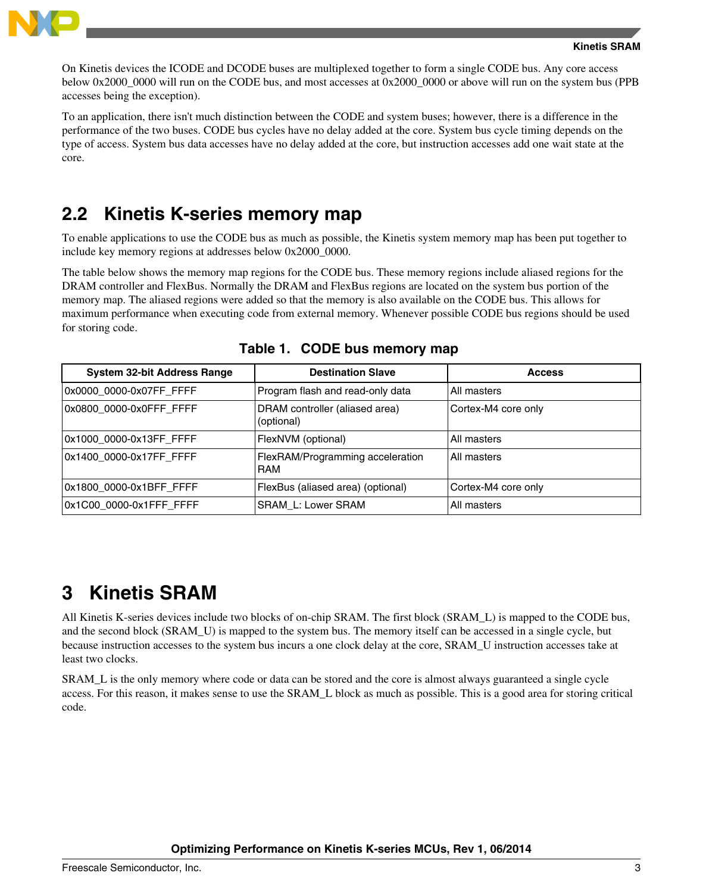<span id="page-2-0"></span>

On Kinetis devices the ICODE and DCODE buses are multiplexed together to form a single CODE bus. Any core access below 0x2000 0000 will run on the CODE bus, and most accesses at 0x2000 0000 or above will run on the system bus (PPB accesses being the exception).

To an application, there isn't much distinction between the CODE and system buses; however, there is a difference in the performance of the two buses. CODE bus cycles have no delay added at the core. System bus cycle timing depends on the type of access. System bus data accesses have no delay added at the core, but instruction accesses add one wait state at the core.

### **2.2 Kinetis K-series memory map**

To enable applications to use the CODE bus as much as possible, the Kinetis system memory map has been put together to include key memory regions at addresses below 0x2000\_0000.

The table below shows the memory map regions for the CODE bus. These memory regions include aliased regions for the DRAM controller and FlexBus. Normally the DRAM and FlexBus regions are located on the system bus portion of the memory map. The aliased regions were added so that the memory is also available on the CODE bus. This allows for maximum performance when executing code from external memory. Whenever possible CODE bus regions should be used for storing code.

| <b>System 32-bit Address Range</b> | <b>Destination Slave</b>                       | <b>Access</b>       |
|------------------------------------|------------------------------------------------|---------------------|
| 0x0000 0000-0x07FF FFFF            | Program flash and read-only data               | All masters         |
| 0x0800 0000-0x0FFF FFFF            | DRAM controller (aliased area)<br>(optional)   | Cortex-M4 core only |
| 0x1000_0000-0x13FF_FFFF            | FlexNVM (optional)                             | All masters         |
| 0x1400_0000-0x17FF_FFFF            | FlexRAM/Programming acceleration<br><b>RAM</b> | All masters         |
| 0x1800 0000-0x1BFF FFFF            | FlexBus (aliased area) (optional)              | Cortex-M4 core only |
| 0x1C00 0000-0x1FFF FFFF            | SRAM L: Lower SRAM                             | All masters         |

#### **Table 1. CODE bus memory map**

### **3 Kinetis SRAM**

All Kinetis K-series devices include two blocks of on-chip SRAM. The first block (SRAM\_L) is mapped to the CODE bus, and the second block (SRAM\_U) is mapped to the system bus. The memory itself can be accessed in a single cycle, but because instruction accesses to the system bus incurs a one clock delay at the core, SRAM\_U instruction accesses take at least two clocks.

SRAM\_L is the only memory where code or data can be stored and the core is almost always guaranteed a single cycle access. For this reason, it makes sense to use the SRAM\_L block as much as possible. This is a good area for storing critical code.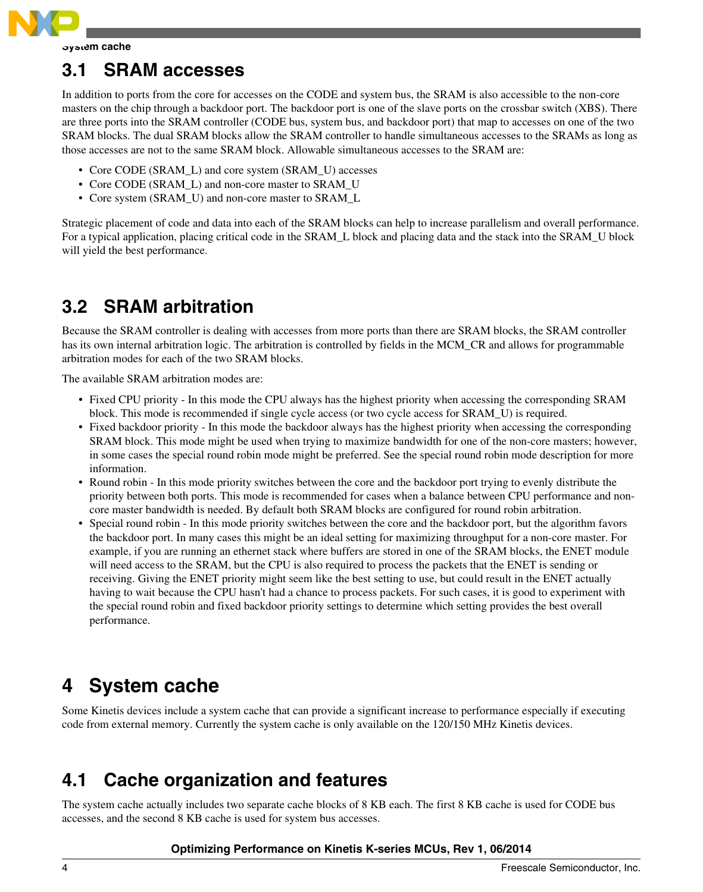<span id="page-3-0"></span>

### **3.1 SRAM accesses**

In addition to ports from the core for accesses on the CODE and system bus, the SRAM is also accessible to the non-core masters on the chip through a backdoor port. The backdoor port is one of the slave ports on the crossbar switch (XBS). There are three ports into the SRAM controller (CODE bus, system bus, and backdoor port) that map to accesses on one of the two SRAM blocks. The dual SRAM blocks allow the SRAM controller to handle simultaneous accesses to the SRAMs as long as those accesses are not to the same SRAM block. Allowable simultaneous accesses to the SRAM are:

- Core CODE (SRAM\_L) and core system (SRAM\_U) accesses
- Core CODE (SRAM L) and non-core master to SRAM U
- Core system (SRAM\_U) and non-core master to SRAM\_L

Strategic placement of code and data into each of the SRAM blocks can help to increase parallelism and overall performance. For a typical application, placing critical code in the SRAM\_L block and placing data and the stack into the SRAM\_U block will yield the best performance.

## **3.2 SRAM arbitration**

Because the SRAM controller is dealing with accesses from more ports than there are SRAM blocks, the SRAM controller has its own internal arbitration logic. The arbitration is controlled by fields in the MCM\_CR and allows for programmable arbitration modes for each of the two SRAM blocks.

The available SRAM arbitration modes are:

- Fixed CPU priority In this mode the CPU always has the highest priority when accessing the corresponding SRAM block. This mode is recommended if single cycle access (or two cycle access for SRAM\_U) is required.
- Fixed backdoor priority In this mode the backdoor always has the highest priority when accessing the corresponding SRAM block. This mode might be used when trying to maximize bandwidth for one of the non-core masters; however, in some cases the special round robin mode might be preferred. See the special round robin mode description for more information.
- Round robin In this mode priority switches between the core and the backdoor port trying to evenly distribute the priority between both ports. This mode is recommended for cases when a balance between CPU performance and noncore master bandwidth is needed. By default both SRAM blocks are configured for round robin arbitration.
- Special round robin In this mode priority switches between the core and the backdoor port, but the algorithm favors the backdoor port. In many cases this might be an ideal setting for maximizing throughput for a non-core master. For example, if you are running an ethernet stack where buffers are stored in one of the SRAM blocks, the ENET module will need access to the SRAM, but the CPU is also required to process the packets that the ENET is sending or receiving. Giving the ENET priority might seem like the best setting to use, but could result in the ENET actually having to wait because the CPU hasn't had a chance to process packets. For such cases, it is good to experiment with the special round robin and fixed backdoor priority settings to determine which setting provides the best overall performance.

## **4 System cache**

Some Kinetis devices include a system cache that can provide a significant increase to performance especially if executing code from external memory. Currently the system cache is only available on the 120/150 MHz Kinetis devices.

### **4.1 Cache organization and features**

The system cache actually includes two separate cache blocks of 8 KB each. The first 8 KB cache is used for CODE bus accesses, and the second 8 KB cache is used for system bus accesses.

#### **Optimizing Performance on Kinetis K-series MCUs, Rev 1, 06/2014**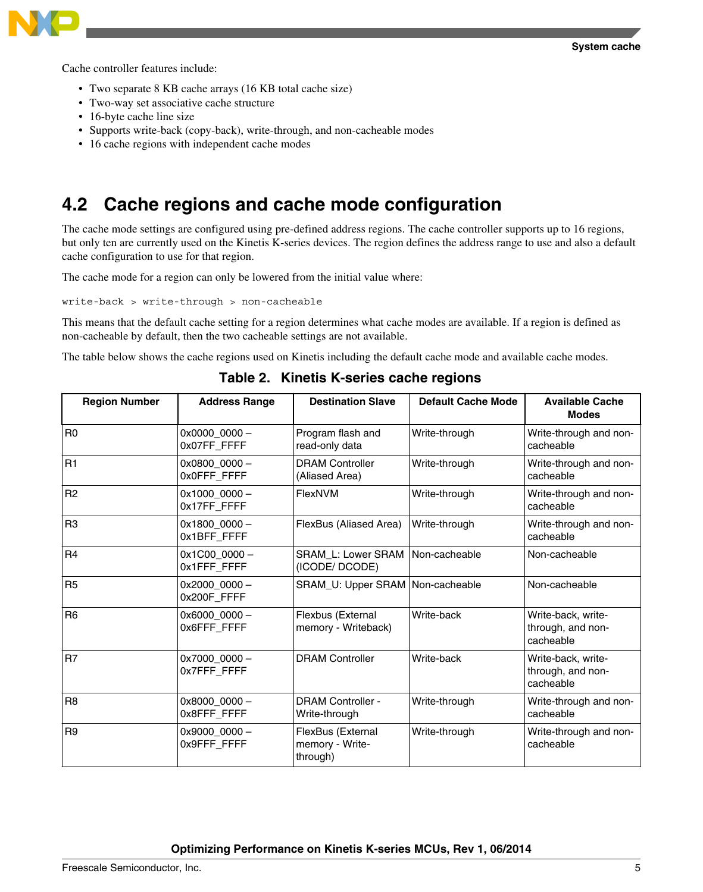

Cache controller features include:

- Two separate 8 KB cache arrays (16 KB total cache size)
- Two-way set associative cache structure
- 16-byte cache line size
- Supports write-back (copy-back), write-through, and non-cacheable modes
- 16 cache regions with independent cache modes

### **4.2 Cache regions and cache mode configuration**

The cache mode settings are configured using pre-defined address regions. The cache controller supports up to 16 regions, but only ten are currently used on the Kinetis K-series devices. The region defines the address range to use and also a default cache configuration to use for that region.

The cache mode for a region can only be lowered from the initial value where:

write-back > write-through > non-cacheable

This means that the default cache setting for a region determines what cache modes are available. If a region is defined as non-cacheable by default, then the two cacheable settings are not available.

The table below shows the cache regions used on Kinetis including the default cache mode and available cache modes.

| <b>Region Number</b> | <b>Address Range</b>          | <b>Destination Slave</b>                         | <b>Default Cache Mode</b> | <b>Available Cache</b><br><b>Modes</b>               |
|----------------------|-------------------------------|--------------------------------------------------|---------------------------|------------------------------------------------------|
| R <sub>0</sub>       | $0x00000000 -$<br>0x07FF FFFF | Program flash and<br>read-only data              | Write-through             | Write-through and non-<br>cacheable                  |
| R1                   | $0x08000000 -$<br>0x0FFF_FFFF | <b>DRAM Controller</b><br>(Aliased Area)         | Write-through             | Write-through and non-<br>cacheable                  |
| R <sub>2</sub>       | $0x1000000 -$<br>0x17FF_FFFF  | FlexNVM                                          | Write-through             | Write-through and non-<br>cacheable                  |
| R <sub>3</sub>       | 0x1800_0000 -<br>0x1BFF_FFFF  | FlexBus (Aliased Area)                           | Write-through             | Write-through and non-<br>cacheable                  |
| R <sub>4</sub>       | 0x1C00_0000-<br>0x1FFF_FFFF   | <b>SRAM L: Lower SRAM</b><br>(ICODE/ DCODE)      | Non-cacheable             | Non-cacheable                                        |
| R <sub>5</sub>       | 0x2000_0000-<br>0x200F_FFFF   | SRAM_U: Upper SRAM   Non-cacheable               |                           | Non-cacheable                                        |
| R <sub>6</sub>       | 0x6000_0000-<br>0x6FFF_FFFF   | Flexbus (External<br>memory - Writeback)         | Write-back                | Write-back, write-<br>through, and non-<br>cacheable |
| R <sub>7</sub>       | 0x7000_0000-<br>0x7FFF_FFFF   | <b>DRAM Controller</b>                           | Write-back                | Write-back, write-<br>through, and non-<br>cacheable |
| R <sub>8</sub>       | 0x8000 0000-<br>0x8FFF_FFFF   | <b>DRAM Controller -</b><br>Write-through        | Write-through             | Write-through and non-<br>cacheable                  |
| R <sub>9</sub>       | $0x90000000 -$<br>0x9FFF_FFFF | FlexBus (External<br>memory - Write-<br>through) | Write-through             | Write-through and non-<br>cacheable                  |

**Table 2. Kinetis K-series cache regions**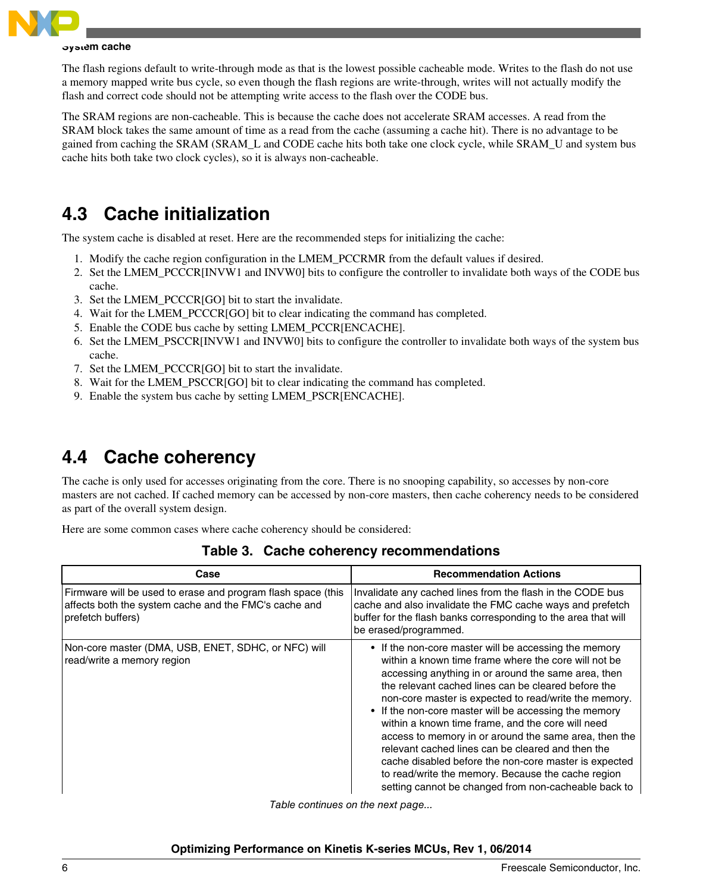

#### **System cache**

The flash regions default to write-through mode as that is the lowest possible cacheable mode. Writes to the flash do not use a memory mapped write bus cycle, so even though the flash regions are write-through, writes will not actually modify the flash and correct code should not be attempting write access to the flash over the CODE bus.

The SRAM regions are non-cacheable. This is because the cache does not accelerate SRAM accesses. A read from the SRAM block takes the same amount of time as a read from the cache (assuming a cache hit). There is no advantage to be gained from caching the SRAM (SRAM\_L and CODE cache hits both take one clock cycle, while SRAM\_U and system bus cache hits both take two clock cycles), so it is always non-cacheable.

### **4.3 Cache initialization**

The system cache is disabled at reset. Here are the recommended steps for initializing the cache:

- 1. Modify the cache region configuration in the LMEM\_PCCRMR from the default values if desired.
- 2. Set the LMEM\_PCCCR[INVW1 and INVW0] bits to configure the controller to invalidate both ways of the CODE bus cache.
- 3. Set the LMEM\_PCCCR[GO] bit to start the invalidate.
- 4. Wait for the LMEM\_PCCCR[GO] bit to clear indicating the command has completed.
- 5. Enable the CODE bus cache by setting LMEM\_PCCR[ENCACHE].
- 6. Set the LMEM\_PSCCR[INVW1 and INVW0] bits to configure the controller to invalidate both ways of the system bus cache.
- 7. Set the LMEM\_PCCCR[GO] bit to start the invalidate.
- 8. Wait for the LMEM\_PSCCR[GO] bit to clear indicating the command has completed.
- 9. Enable the system bus cache by setting LMEM\_PSCR[ENCACHE].

### **4.4 Cache coherency**

The cache is only used for accesses originating from the core. There is no snooping capability, so accesses by non-core masters are not cached. If cached memory can be accessed by non-core masters, then cache coherency needs to be considered as part of the overall system design.

Here are some common cases where cache coherency should be considered:

| Case                                                                                                                                       | <b>Recommendation Actions</b>                                                                                                                                                                                                                                                                                                                                                                                                                                                                                                                                                                                                                                                           |
|--------------------------------------------------------------------------------------------------------------------------------------------|-----------------------------------------------------------------------------------------------------------------------------------------------------------------------------------------------------------------------------------------------------------------------------------------------------------------------------------------------------------------------------------------------------------------------------------------------------------------------------------------------------------------------------------------------------------------------------------------------------------------------------------------------------------------------------------------|
| Firmware will be used to erase and program flash space (this<br>affects both the system cache and the FMC's cache and<br>prefetch buffers) | Invalidate any cached lines from the flash in the CODE bus<br>cache and also invalidate the FMC cache ways and prefetch<br>buffer for the flash banks corresponding to the area that will<br>be erased/programmed.                                                                                                                                                                                                                                                                                                                                                                                                                                                                      |
| Non-core master (DMA, USB, ENET, SDHC, or NFC) will<br>read/write a memory region                                                          | • If the non-core master will be accessing the memory<br>within a known time frame where the core will not be<br>accessing anything in or around the same area, then<br>the relevant cached lines can be cleared before the<br>non-core master is expected to read/write the memory.<br>• If the non-core master will be accessing the memory<br>within a known time frame, and the core will need<br>access to memory in or around the same area, then the<br>relevant cached lines can be cleared and then the<br>cache disabled before the non-core master is expected<br>to read/write the memory. Because the cache region<br>setting cannot be changed from non-cacheable back to |

**Table 3. Cache coherency recommendations**

*Table continues on the next page...*

#### **Optimizing Performance on Kinetis K-series MCUs, Rev 1, 06/2014**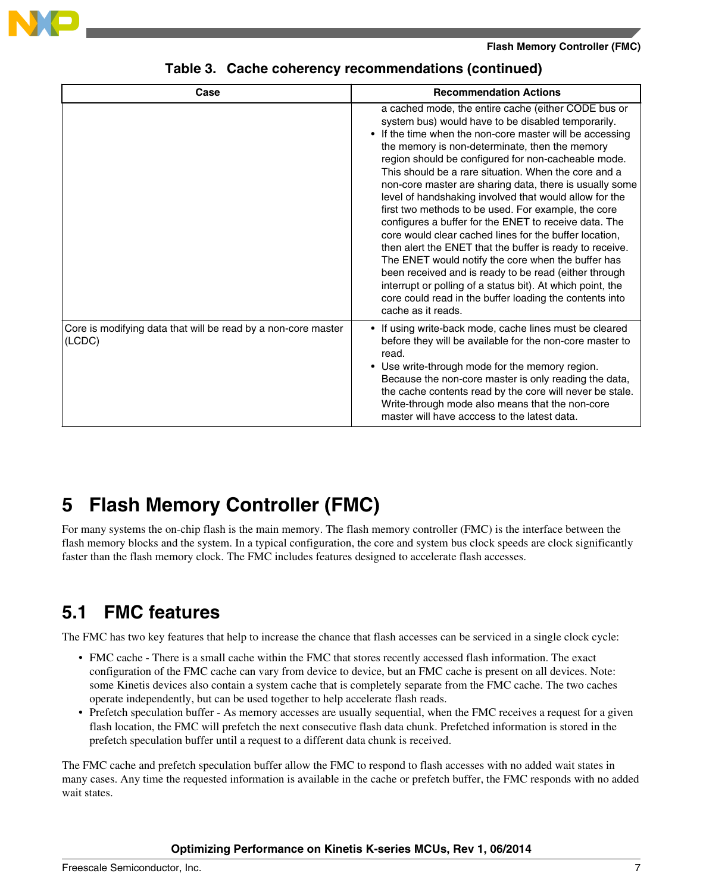<span id="page-6-0"></span>

| Case                                                                    | <b>Recommendation Actions</b>                                                                                                                                                                                                                                                                                                                                                                                                                                                                                                                                                                                                                                                                                                                                                                                                                                                                                                                                   |
|-------------------------------------------------------------------------|-----------------------------------------------------------------------------------------------------------------------------------------------------------------------------------------------------------------------------------------------------------------------------------------------------------------------------------------------------------------------------------------------------------------------------------------------------------------------------------------------------------------------------------------------------------------------------------------------------------------------------------------------------------------------------------------------------------------------------------------------------------------------------------------------------------------------------------------------------------------------------------------------------------------------------------------------------------------|
|                                                                         | a cached mode, the entire cache (either CODE bus or<br>system bus) would have to be disabled temporarily.<br>• If the time when the non-core master will be accessing<br>the memory is non-determinate, then the memory<br>region should be configured for non-cacheable mode.<br>This should be a rare situation. When the core and a<br>non-core master are sharing data, there is usually some<br>level of handshaking involved that would allow for the<br>first two methods to be used. For example, the core<br>configures a buffer for the ENET to receive data. The<br>core would clear cached lines for the buffer location,<br>then alert the ENET that the buffer is ready to receive.<br>The ENET would notify the core when the buffer has<br>been received and is ready to be read (either through<br>interrupt or polling of a status bit). At which point, the<br>core could read in the buffer loading the contents into<br>cache as it reads. |
| Core is modifying data that will be read by a non-core master<br>(LCDC) | • If using write-back mode, cache lines must be cleared<br>before they will be available for the non-core master to<br>read.<br>• Use write-through mode for the memory region.<br>Because the non-core master is only reading the data,<br>the cache contents read by the core will never be stale.<br>Write-through mode also means that the non-core<br>master will have acccess to the latest data.                                                                                                                                                                                                                                                                                                                                                                                                                                                                                                                                                         |

#### **Table 3. Cache coherency recommendations (continued)**

## **5 Flash Memory Controller (FMC)**

For many systems the on-chip flash is the main memory. The flash memory controller (FMC) is the interface between the flash memory blocks and the system. In a typical configuration, the core and system bus clock speeds are clock significantly faster than the flash memory clock. The FMC includes features designed to accelerate flash accesses.

## **5.1 FMC features**

The FMC has two key features that help to increase the chance that flash accesses can be serviced in a single clock cycle:

- FMC cache There is a small cache within the FMC that stores recently accessed flash information. The exact configuration of the FMC cache can vary from device to device, but an FMC cache is present on all devices. Note: some Kinetis devices also contain a system cache that is completely separate from the FMC cache. The two caches operate independently, but can be used together to help accelerate flash reads.
- Prefetch speculation buffer As memory accesses are usually sequential, when the FMC receives a request for a given flash location, the FMC will prefetch the next consecutive flash data chunk. Prefetched information is stored in the prefetch speculation buffer until a request to a different data chunk is received.

The FMC cache and prefetch speculation buffer allow the FMC to respond to flash accesses with no added wait states in many cases. Any time the requested information is available in the cache or prefetch buffer, the FMC responds with no added wait states.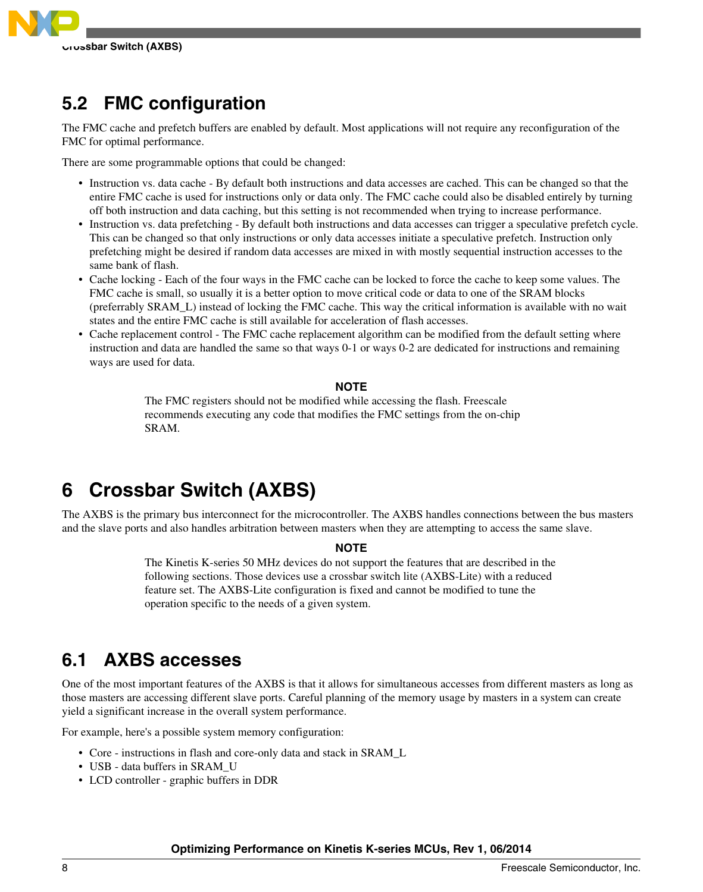<span id="page-7-0"></span>

### **5.2 FMC configuration**

The FMC cache and prefetch buffers are enabled by default. Most applications will not require any reconfiguration of the FMC for optimal performance.

There are some programmable options that could be changed:

- Instruction vs. data cache By default both instructions and data accesses are cached. This can be changed so that the entire FMC cache is used for instructions only or data only. The FMC cache could also be disabled entirely by turning off both instruction and data caching, but this setting is not recommended when trying to increase performance.
- Instruction vs. data prefetching By default both instructions and data accesses can trigger a speculative prefetch cycle. This can be changed so that only instructions or only data accesses initiate a speculative prefetch. Instruction only prefetching might be desired if random data accesses are mixed in with mostly sequential instruction accesses to the same bank of flash.
- Cache locking Each of the four ways in the FMC cache can be locked to force the cache to keep some values. The FMC cache is small, so usually it is a better option to move critical code or data to one of the SRAM blocks (preferrably SRAM\_L) instead of locking the FMC cache. This way the critical information is available with no wait states and the entire FMC cache is still available for acceleration of flash accesses.
- Cache replacement control The FMC cache replacement algorithm can be modified from the default setting where instruction and data are handled the same so that ways 0-1 or ways 0-2 are dedicated for instructions and remaining ways are used for data.

#### **NOTE**

The FMC registers should not be modified while accessing the flash. Freescale recommends executing any code that modifies the FMC settings from the on-chip SRAM.

## **6 Crossbar Switch (AXBS)**

The AXBS is the primary bus interconnect for the microcontroller. The AXBS handles connections between the bus masters and the slave ports and also handles arbitration between masters when they are attempting to access the same slave.

#### **NOTE**

The Kinetis K-series 50 MHz devices do not support the features that are described in the following sections. Those devices use a crossbar switch lite (AXBS-Lite) with a reduced feature set. The AXBS-Lite configuration is fixed and cannot be modified to tune the operation specific to the needs of a given system.

### **6.1 AXBS accesses**

One of the most important features of the AXBS is that it allows for simultaneous accesses from different masters as long as those masters are accessing different slave ports. Careful planning of the memory usage by masters in a system can create yield a significant increase in the overall system performance.

For example, here's a possible system memory configuration:

- Core instructions in flash and core-only data and stack in SRAM\_L
- USB data buffers in SRAM\_U
- LCD controller graphic buffers in DDR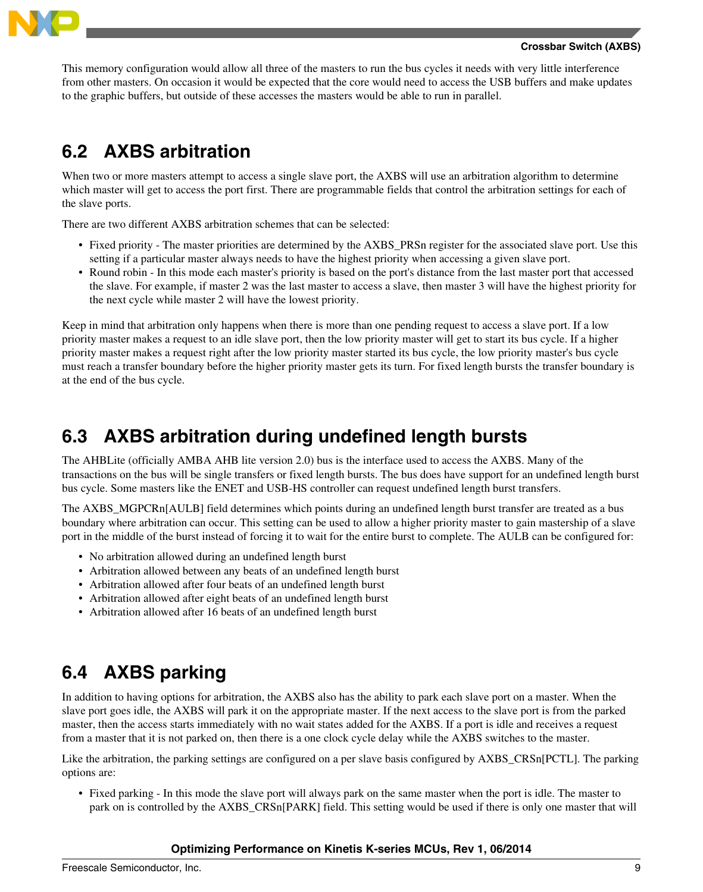

This memory configuration would allow all three of the masters to run the bus cycles it needs with very little interference from other masters. On occasion it would be expected that the core would need to access the USB buffers and make updates to the graphic buffers, but outside of these accesses the masters would be able to run in parallel.

## **6.2 AXBS arbitration**

When two or more masters attempt to access a single slave port, the AXBS will use an arbitration algorithm to determine which master will get to access the port first. There are programmable fields that control the arbitration settings for each of the slave ports.

There are two different AXBS arbitration schemes that can be selected:

- Fixed priority The master priorities are determined by the AXBS\_PRSn register for the associated slave port. Use this setting if a particular master always needs to have the highest priority when accessing a given slave port.
- Round robin In this mode each master's priority is based on the port's distance from the last master port that accessed the slave. For example, if master 2 was the last master to access a slave, then master 3 will have the highest priority for the next cycle while master 2 will have the lowest priority.

Keep in mind that arbitration only happens when there is more than one pending request to access a slave port. If a low priority master makes a request to an idle slave port, then the low priority master will get to start its bus cycle. If a higher priority master makes a request right after the low priority master started its bus cycle, the low priority master's bus cycle must reach a transfer boundary before the higher priority master gets its turn. For fixed length bursts the transfer boundary is at the end of the bus cycle.

### **6.3 AXBS arbitration during undefined length bursts**

The AHBLite (officially AMBA AHB lite version 2.0) bus is the interface used to access the AXBS. Many of the transactions on the bus will be single transfers or fixed length bursts. The bus does have support for an undefined length burst bus cycle. Some masters like the ENET and USB-HS controller can request undefined length burst transfers.

The AXBS\_MGPCRn[AULB] field determines which points during an undefined length burst transfer are treated as a bus boundary where arbitration can occur. This setting can be used to allow a higher priority master to gain mastership of a slave port in the middle of the burst instead of forcing it to wait for the entire burst to complete. The AULB can be configured for:

- No arbitration allowed during an undefined length burst
- Arbitration allowed between any beats of an undefined length burst
- Arbitration allowed after four beats of an undefined length burst
- Arbitration allowed after eight beats of an undefined length burst
- Arbitration allowed after 16 beats of an undefined length burst

## **6.4 AXBS parking**

In addition to having options for arbitration, the AXBS also has the ability to park each slave port on a master. When the slave port goes idle, the AXBS will park it on the appropriate master. If the next access to the slave port is from the parked master, then the access starts immediately with no wait states added for the AXBS. If a port is idle and receives a request from a master that it is not parked on, then there is a one clock cycle delay while the AXBS switches to the master.

Like the arbitration, the parking settings are configured on a per slave basis configured by AXBS\_CRSn[PCTL]. The parking options are:

• Fixed parking - In this mode the slave port will always park on the same master when the port is idle. The master to park on is controlled by the AXBS\_CRSn[PARK] field. This setting would be used if there is only one master that will

#### **Optimizing Performance on Kinetis K-series MCUs, Rev 1, 06/2014**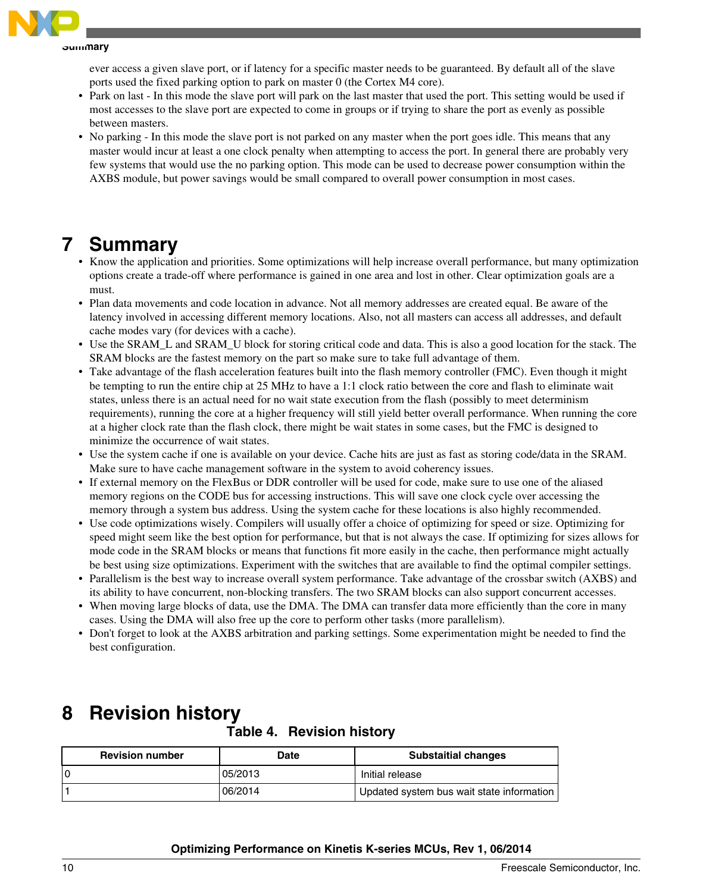<span id="page-9-0"></span>

ever access a given slave port, or if latency for a specific master needs to be guaranteed. By default all of the slave ports used the fixed parking option to park on master 0 (the Cortex M4 core).

- Park on last In this mode the slave port will park on the last master that used the port. This setting would be used if most accesses to the slave port are expected to come in groups or if trying to share the port as evenly as possible between masters.
- No parking In this mode the slave port is not parked on any master when the port goes idle. This means that any master would incur at least a one clock penalty when attempting to access the port. In general there are probably very few systems that would use the no parking option. This mode can be used to decrease power consumption within the AXBS module, but power savings would be small compared to overall power consumption in most cases.

## **7 Summary**

- Know the application and priorities. Some optimizations will help increase overall performance, but many optimization options create a trade-off where performance is gained in one area and lost in other. Clear optimization goals are a must.
- Plan data movements and code location in advance. Not all memory addresses are created equal. Be aware of the latency involved in accessing different memory locations. Also, not all masters can access all addresses, and default cache modes vary (for devices with a cache).
- Use the SRAM\_L and SRAM\_U block for storing critical code and data. This is also a good location for the stack. The SRAM blocks are the fastest memory on the part so make sure to take full advantage of them.
- Take advantage of the flash acceleration features built into the flash memory controller (FMC). Even though it might be tempting to run the entire chip at 25 MHz to have a 1:1 clock ratio between the core and flash to eliminate wait states, unless there is an actual need for no wait state execution from the flash (possibly to meet determinism requirements), running the core at a higher frequency will still yield better overall performance. When running the core at a higher clock rate than the flash clock, there might be wait states in some cases, but the FMC is designed to minimize the occurrence of wait states.
- Use the system cache if one is available on your device. Cache hits are just as fast as storing code/data in the SRAM. Make sure to have cache management software in the system to avoid coherency issues.
- If external memory on the FlexBus or DDR controller will be used for code, make sure to use one of the aliased memory regions on the CODE bus for accessing instructions. This will save one clock cycle over accessing the memory through a system bus address. Using the system cache for these locations is also highly recommended.
- Use code optimizations wisely. Compilers will usually offer a choice of optimizing for speed or size. Optimizing for speed might seem like the best option for performance, but that is not always the case. If optimizing for sizes allows for mode code in the SRAM blocks or means that functions fit more easily in the cache, then performance might actually be best using size optimizations. Experiment with the switches that are available to find the optimal compiler settings.
- Parallelism is the best way to increase overall system performance. Take advantage of the crossbar switch (AXBS) and its ability to have concurrent, non-blocking transfers. The two SRAM blocks can also support concurrent accesses.
- When moving large blocks of data, use the DMA. The DMA can transfer data more efficiently than the core in many cases. Using the DMA will also free up the core to perform other tasks (more parallelism).
- Don't forget to look at the AXBS arbitration and parking settings. Some experimentation might be needed to find the best configuration.

## **8 Revision history**

**Table 4. Revision history**

| <b>Revision number</b> | Date    | <b>Substaitial changes</b>                |
|------------------------|---------|-------------------------------------------|
| ۱o                     | 05/2013 | Initial release                           |
|                        | 06/2014 | Updated system bus wait state information |